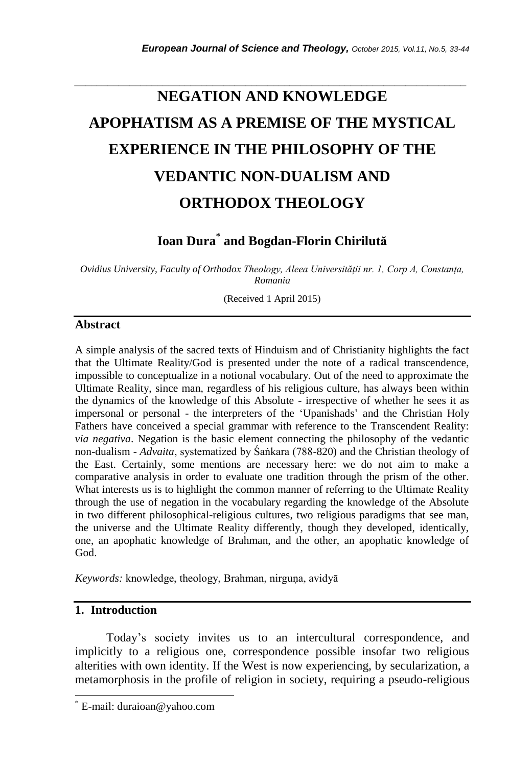# **NEGATION AND KNOWLEDGE APOPHATISM AS A PREMISE OF THE MYSTICAL EXPERIENCE IN THE PHILOSOPHY OF THE VEDANTIC NON-DUALISM AND ORTHODOX THEOLOGY**

*\_\_\_\_\_\_\_\_\_\_\_\_\_\_\_\_\_\_\_\_\_\_\_\_\_\_\_\_\_\_\_\_\_\_\_\_\_\_\_\_\_\_\_\_\_\_\_\_\_\_\_\_\_\_\_\_\_\_\_\_\_\_\_\_\_\_\_\_\_\_\_*

# **Ioan Dura\* and Bogdan-Florin Chirilută**

*Ovidius University, Faculty of Orthodox Theology, Aleea Universității nr. 1, Corp A, Constanța, Romania*

(Received 1 April 2015)

#### **Abstract**

A simple analysis of the sacred texts of Hinduism and of Christianity highlights the fact that the Ultimate Reality/God is presented under the note of a radical transcendence, impossible to conceptualize in a notional vocabulary. Out of the need to approximate the Ultimate Reality, since man, regardless of his religious culture, has always been within the dynamics of the knowledge of this Absolute - irrespective of whether he sees it as impersonal or personal - the interpreters of the "Upanishads" and the Christian Holy Fathers have conceived a special grammar with reference to the Transcendent Reality: *via negativa*. Negation is the basic element connecting the philosophy of the vedantic non-dualism - *Advaita*, systematized by Śaṅkara (788-820) and the Christian theology of the East. Certainly, some mentions are necessary here: we do not aim to make a comparative analysis in order to evaluate one tradition through the prism of the other. What interests us is to highlight the common manner of referring to the Ultimate Reality through the use of negation in the vocabulary regarding the knowledge of the Absolute in two different philosophical-religious cultures, two religious paradigms that see man, the universe and the Ultimate Reality differently, though they developed, identically, one, an apophatic knowledge of Brahman, and the other, an apophatic knowledge of God.

*Keywords:* knowledge, theology, Brahman, nirguṇa, avidyā

# **1. Introduction**

l

Today"s society invites us to an intercultural correspondence, and implicitly to a religious one, correspondence possible insofar two religious alterities with own identity. If the West is now experiencing, by secularization, a metamorphosis in the profile of religion in society, requiring a pseudo-religious

E-mail: duraioan@yahoo.com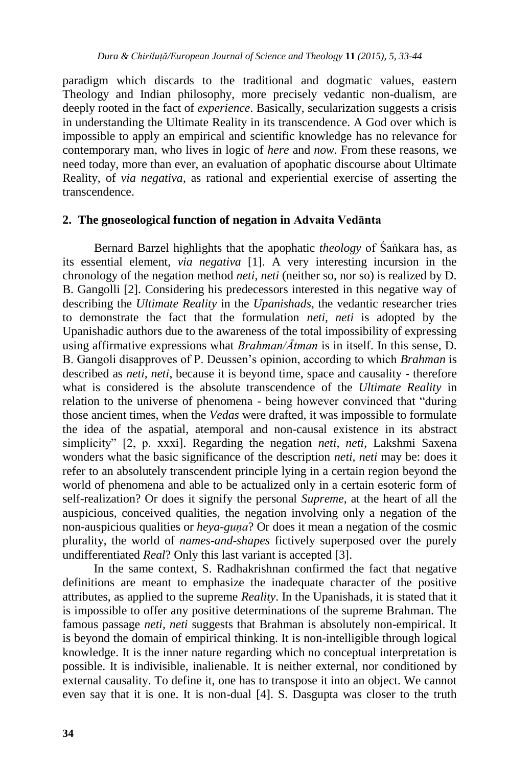paradigm which discards to the traditional and dogmatic values, eastern Theology and Indian philosophy, more precisely vedantic non-dualism, are deeply rooted in the fact of *experience*. Basically, secularization suggests a crisis in understanding the Ultimate Reality in its transcendence. A God over which is impossible to apply an empirical and scientific knowledge has no relevance for contemporary man, who lives in logic of *here* and *now*. From these reasons, we need today, more than ever, an evaluation of apophatic discourse about Ultimate Reality, of *via negativa*, as rational and experiential exercise of asserting the transcendence.

#### **2. The gnoseological function of negation in Advaita Vedānta**

Bernard Barzel highlights that the apophatic *theology* of Śaṅkara has, as its essential element, *via negativa* [1]. A very interesting incursion in the chronology of the negation method *neti, neti* (neither so, nor so) is realized by D. B. Gangolli [2]. Considering his predecessors interested in this negative way of describing the *Ultimate Reality* in the *Upanishads*, the vedantic researcher tries to demonstrate the fact that the formulation *neti, neti* is adopted by the Upanishadic authors due to the awareness of the total impossibility of expressing using affirmative expressions what *Brahman/Ātman* is in itself. In this sense, D. B. Gangoli disapproves of P. Deussen"s opinion, according to which *Brahman* is described as *neti, neti*, because it is beyond time, space and causality - therefore what is considered is the absolute transcendence of the *Ultimate Reality* in relation to the universe of phenomena - being however convinced that "during those ancient times, when the *Vedas* were drafted, it was impossible to formulate the idea of the aspatial, atemporal and non-causal existence in its abstract simplicity" [2, p. xxxi]. Regarding the negation *neti, neti*, Lakshmi Saxena wonders what the basic significance of the description *neti, neti* may be: does it refer to an absolutely transcendent principle lying in a certain region beyond the world of phenomena and able to be actualized only in a certain esoteric form of self-realization? Or does it signify the personal *Supreme*, at the heart of all the auspicious, conceived qualities, the negation involving only a negation of the non-auspicious qualities or *heya-guṇa*? Or does it mean a negation of the cosmic plurality, the world of *names*-*and*-*shapes* fictively superposed over the purely undifferentiated *Real*? Only this last variant is accepted [3].

In the same context, S. Radhakrishnan confirmed the fact that negative definitions are meant to emphasize the inadequate character of the positive attributes, as applied to the supreme *Reality*. In the Upanishads, it is stated that it is impossible to offer any positive determinations of the supreme Brahman. The famous passage *neti, neti* suggests that Brahman is absolutely non-empirical. It is beyond the domain of empirical thinking. It is non-intelligible through logical knowledge. It is the inner nature regarding which no conceptual interpretation is possible. It is indivisible, inalienable. It is neither external, nor conditioned by external causality. To define it, one has to transpose it into an object. We cannot even say that it is one. It is non-dual [4]. S. Dasgupta was closer to the truth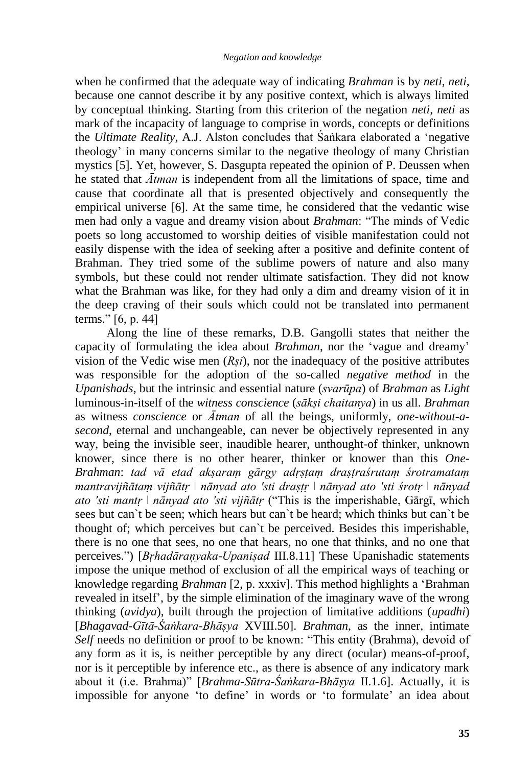when he confirmed that the adequate way of indicating *Brahman* is by *neti, neti*, because one cannot describe it by any positive context, which is always limited by conceptual thinking. Starting from this criterion of the negation *neti, neti* as mark of the incapacity of language to comprise in words, concepts or definitions the *Ultimate Reality*, A.J. Alston concludes that Śaṅkara elaborated a "negative theology" in many concerns similar to the negative theology of many Christian mystics [5]. Yet, however, S. Dasgupta repeated the opinion of P. Deussen when he stated that *Ātman* is independent from all the limitations of space, time and cause that coordinate all that is presented objectively and consequently the empirical universe [6]. At the same time, he considered that the vedantic wise men had only a vague and dreamy vision about *Brahman*: "The minds of Vedic poets so long accustomed to worship deities of visible manifestation could not easily dispense with the idea of seeking after a positive and definite content of Brahman. They tried some of the sublime powers of nature and also many symbols, but these could not render ultimate satisfaction. They did not know what the Brahman was like, for they had only a dim and dreamy vision of it in the deep craving of their souls which could not be translated into permanent terms." [6, p. 44]

Along the line of these remarks, D.B. Gangolli states that neither the capacity of formulating the idea about *Brahman*, nor the "vague and dreamy" vision of the Vedic wise men (*Rṣi*), nor the inadequacy of the positive attributes was responsible for the adoption of the so-called *negative method* in the *Upanishads*, but the intrinsic and essential nature (*svarūpa*) of *Brahman* as *Light* luminous-in-itself of the *witness conscience* (*sākṣi chaitanya*) in us all. *Brahman* as witness *conscience* or *Ātman* of all the beings, uniformly, *one-without-asecond*, eternal and unchangeable, can never be objectively represented in any way, being the invisible seer, inaudible hearer, unthought-of thinker, unknown knower, since there is no other hearer, thinker or knower than this *One*-*Brahman*: *tad vā etad akṣaraṃ gārgy adṛṣṭaṃ draṣṭraśrutaṃ śrotramataṃ mantravijñātaṃ vijñātṛ ǀ nānyad ato 'sti draṣṭṛ ǀ nānyad ato 'sti śrotṛ ǀ nānyad ato 'sti mantṛ ǀ nānyad ato 'sti vijñātṛ* ("This is the imperishable, Gārgī, which sees but can`t be seen; which hears but can`t be heard; which thinks but can`t be thought of; which perceives but can`t be perceived. Besides this imperishable, there is no one that sees, no one that hears, no one that thinks, and no one that perceives.") [*Bṛhadāraṇyaka*-*Upaniṣad* III.8.11] These Upanishadic statements impose the unique method of exclusion of all the empirical ways of teaching or knowledge regarding *Brahman* [2, p. xxxiv]. This method highlights a "Brahman revealed in itself", by the simple elimination of the imaginary wave of the wrong thinking (*avidya*), built through the projection of limitative additions (*upadhi*) [*Bhagavad-Gītā-Śaṅkara-Bhāṣya* XVIII.50]. *Brahman*, as the inner, intimate *Self* needs no definition or proof to be known: "This entity (Brahma), devoid of any form as it is, is neither perceptible by any direct (ocular) means-of-proof, nor is it perceptible by inference etc., as there is absence of any indicatory mark about it (i.e. Brahma)" [*Brahma-Sūtra-Śaṅkara-Bhāṣya* II.1.6]. Actually, it is impossible for anyone "to define" in words or "to formulate" an idea about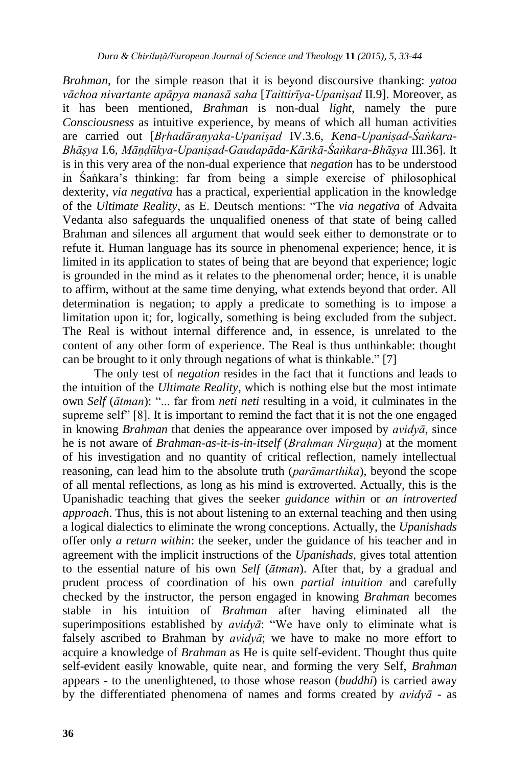*Brahman*, for the simple reason that it is beyond discoursive thanking: *yatoa vāchoa nivartante apāpya manasā saha* [*Taittirīya-Upaniṣad* II.9]. Moreover, as it has been mentioned, *Brahman* is non-dual *light*, namely the pure *Consciousness* as intuitive experience, by means of which all human activities are carried out [*Bṛhadāraṇyaka*-*Upaniṣad* IV.3.6, *Kena-Upaniṣad-Śaṅkara-Bhāṣya* I.6, *Māṇḍūkya-Upaniṣad-Gaudapāda-Kārikā-Śaṅkara-Bhāṣya* III.36]. It is in this very area of the non-dual experience that *negation* has to be understood in Śaṅkara"s thinking: far from being a simple exercise of philosophical dexterity, *via negativa* has a practical, experiential application in the knowledge of the *Ultimate Reality*, as E. Deutsch mentions: "The *via negativa* of Advaita Vedanta also safeguards the unqualified oneness of that state of being called Brahman and silences all argument that would seek either to demonstrate or to refute it. Human language has its source in phenomenal experience; hence, it is limited in its application to states of being that are beyond that experience; logic is grounded in the mind as it relates to the phenomenal order; hence, it is unable to affirm, without at the same time denying, what extends beyond that order. All determination is negation; to apply a predicate to something is to impose a limitation upon it; for, logically, something is being excluded from the subject. The Real is without internal difference and, in essence, is unrelated to the content of any other form of experience. The Real is thus unthinkable: thought can be brought to it only through negations of what is thinkable." [7]

The only test of *negation* resides in the fact that it functions and leads to the intuition of the *Ultimate Reality*, which is nothing else but the most intimate own *Self* (*ātman*): "... far from *neti neti* resulting in a void, it culminates in the supreme self" [8]. It is important to remind the fact that it is not the one engaged in knowing *Brahman* that denies the appearance over imposed by *avidyā*, since he is not aware of *Brahman-as-it-is-in-itself* (*Brahman Nirguṇa*) at the moment of his investigation and no quantity of critical reflection, namely intellectual reasoning, can lead him to the absolute truth (*parāmarthika*), beyond the scope of all mental reflections, as long as his mind is extroverted. Actually, this is the Upanishadic teaching that gives the seeker *guidance within* or *an introverted approach*. Thus, this is not about listening to an external teaching and then using a logical dialectics to eliminate the wrong conceptions. Actually, the *Upanishads* offer only *a return within*: the seeker, under the guidance of his teacher and in agreement with the implicit instructions of the *Upanishads*, gives total attention to the essential nature of his own *Self* (*ātman*). After that, by a gradual and prudent process of coordination of his own *partial intuition* and carefully checked by the instructor, the person engaged in knowing *Brahman* becomes stable in his intuition of *Brahman* after having eliminated all the superimpositions established by *avidyā*: "We have only to eliminate what is falsely ascribed to Brahman by *avidyā*; we have to make no more effort to acquire a knowledge of *Brahman* as He is quite self-evident. Thought thus quite self-evident easily knowable, quite near, and forming the very Self, *Brahman* appears - to the unenlightened, to those whose reason (*buddhi*) is carried away by the differentiated phenomena of names and forms created by *avidyā* - as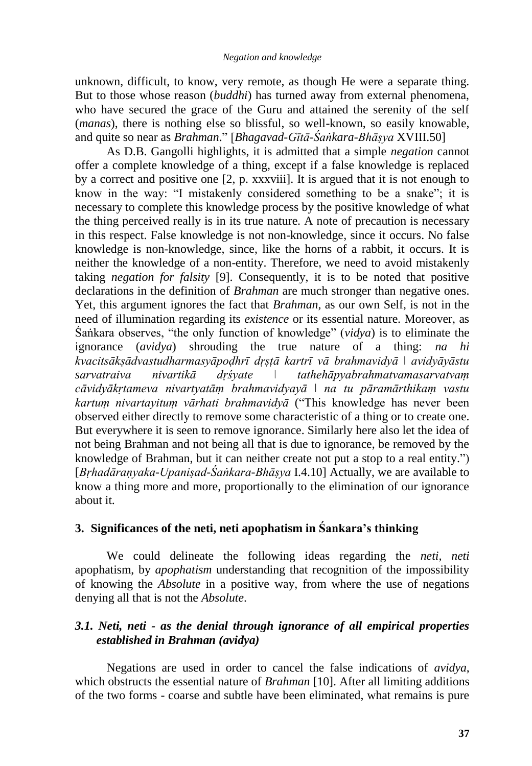unknown, difficult, to know, very remote, as though He were a separate thing. But to those whose reason (*buddhi*) has turned away from external phenomena, who have secured the grace of the Guru and attained the serenity of the self (*manas*), there is nothing else so blissful, so well-known, so easily knowable, and quite so near as *Brahman*." [*Bhagavad-Gītā-Śaṅkara-Bhāṣya* XVIII.50]

As D.B. Gangolli highlights, it is admitted that a simple *negation* cannot offer a complete knowledge of a thing, except if a false knowledge is replaced by a correct and positive one [2, p. xxxviii]. It is argued that it is not enough to know in the way: "I mistakenly considered something to be a snake"; it is necessary to complete this knowledge process by the positive knowledge of what the thing perceived really is in its true nature. A note of precaution is necessary in this respect. False knowledge is not non-knowledge, since it occurs. No false knowledge is non-knowledge, since, like the horns of a rabbit, it occurs. It is neither the knowledge of a non-entity. Therefore, we need to avoid mistakenly taking *negation for falsity* [9]. Consequently, it is to be noted that positive declarations in the definition of *Brahman* are much stronger than negative ones. Yet, this argument ignores the fact that *Brahman*, as our own Self, is not in the need of illumination regarding its *existence* or its essential nature. Moreover, as Śaṅkara observes, "the only function of knowledge" (*vidya*) is to eliminate the ignorance (*avidya*) shrouding the true nature of a thing: *na hi kvacitsākṣādvastudharmasyāpoḍhrī dṛṣṭā kartrī vā brahmavidyā ǀ avidyāyāstu sarvatraiva nivartikā dṛśyate ǀ tathehāpyabrahmatvamasarvatvaṃ cāvidyākṛtameva nivartyatāṃ brahmavidyayā ǀ na tu pāramārthikaṃ vastu kartuṃ nivartayituṃ vārhati brahmavidyā* ("This knowledge has never been observed either directly to remove some characteristic of a thing or to create one. But everywhere it is seen to remove ignorance. Similarly here also let the idea of not being Brahman and not being all that is due to ignorance, be removed by the knowledge of Brahman, but it can neither create not put a stop to a real entity.") [*Bṛhadāraṇyaka-Upaniṣad-Śaṅkara-Bhāṣya* I.4.10] Actually, we are available to know a thing more and more, proportionally to the elimination of our ignorance about it.

# **3. Significances of the neti, neti apophatism in Śankara's thinking**

We could delineate the following ideas regarding the *neti, neti*  apophatism, by *apophatism* understanding that recognition of the impossibility of knowing the *Absolute* in a positive way, from where the use of negations denying all that is not the *Absolute*.

# *3.1. Neti, neti - as the denial through ignorance of all empirical properties established in Brahman (avidya)*

Negations are used in order to cancel the false indications of *avidya*, which obstructs the essential nature of *Brahman* [10]. After all limiting additions of the two forms - coarse and subtle have been eliminated, what remains is pure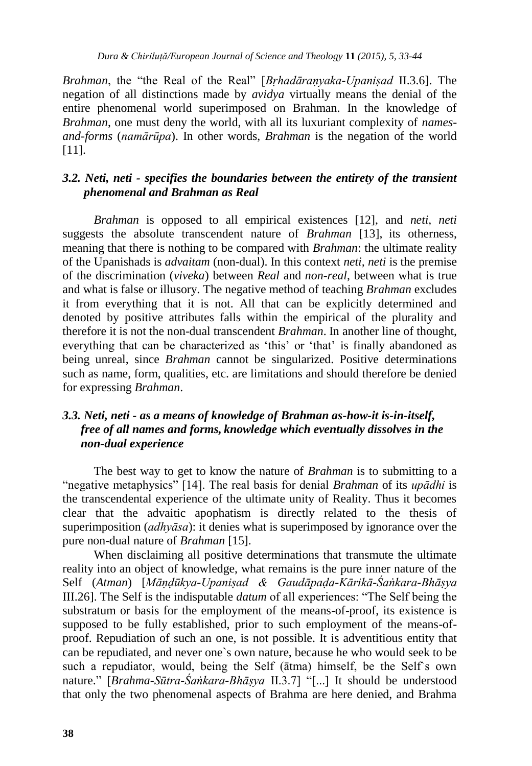*Brahman*, the "the Real of the Real" [*Bṛhadāraṇyaka-Upaniṣad* II.3.6]. The negation of all distinctions made by *avidya* virtually means the denial of the entire phenomenal world superimposed on Brahman. In the knowledge of *Brahman*, one must deny the world, with all its luxuriant complexity of *namesand-forms* (*namārūpa*). In other words, *Brahman* is the negation of the world [11].

# *3.2. Neti, neti - specifies the boundaries between the entirety of the transient phenomenal and Brahman as Real*

*Brahman* is opposed to all empirical existences [12], and *neti, neti* suggests the absolute transcendent nature of *Brahman* [13], its otherness, meaning that there is nothing to be compared with *Brahman*: the ultimate reality of the Upanishads is *advaitam* (non-dual). In this context *neti, neti* is the premise of the discrimination (*viveka*) between *Real* and *non-real*, between what is true and what is false or illusory. The negative method of teaching *Brahman* excludes it from everything that it is not. All that can be explicitly determined and denoted by positive attributes falls within the empirical of the plurality and therefore it is not the non-dual transcendent *Brahman*. In another line of thought, everything that can be characterized as 'this' or 'that' is finally abandoned as being unreal, since *Brahman* cannot be singularized. Positive determinations such as name, form, qualities, etc. are limitations and should therefore be denied for expressing *Brahman*.

# *3.3. Neti, neti - as a means of knowledge of Brahman as-how-it is-in-itself, free of all names and forms, knowledge which eventually dissolves in the non-dual experience*

The best way to get to know the nature of *Brahman* is to submitting to a "negative metaphysics" [14]. The real basis for denial *Brahman* of its *upādhi* is the transcendental experience of the ultimate unity of Reality. Thus it becomes clear that the advaitic apophatism is directly related to the thesis of superimposition (*adhyāsa*): it denies what is superimposed by ignorance over the pure non-dual nature of *Brahman* [15].

When disclaiming all positive determinations that transmute the ultimate reality into an object of knowledge, what remains is the pure inner nature of the Self (*Atman*) [*Māṇḍūkya-Upaniṣad & Gaudāpaḍa-Kārikā-Śaṅkara-Bhāṣya* III.26]. The Self is the indisputable *datum* of all experiences: "The Self being the substratum or basis for the employment of the means-of-proof, its existence is supposed to be fully established, prior to such employment of the means-ofproof. Repudiation of such an one, is not possible. It is adventitious entity that can be repudiated, and never one`s own nature, because he who would seek to be such a repudiator, would, being the Self (ātma) himself, be the Self`s own nature." [*Brahma-Sūtra-Śaṅkara-Bhāṣya* II.3.7] "[...] It should be understood that only the two phenomenal aspects of Brahma are here denied, and Brahma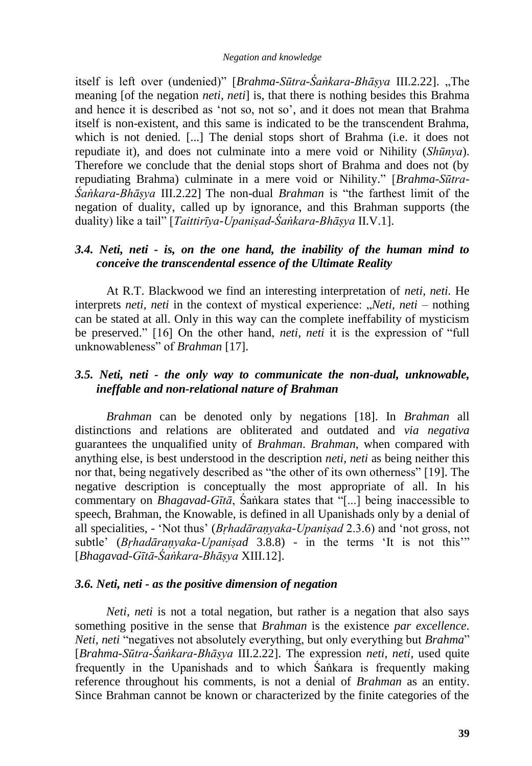#### *Negation and knowledge*

itself is left over (undenied)" [*Brahma-Sūtra-Śaṅkara-Bhāṣya III.2.22*]. "The meaning [of the negation *neti, neti*] is, that there is nothing besides this Brahma and hence it is described as 'not so, not so', and it does not mean that Brahma itself is non-existent, and this same is indicated to be the transcendent Brahma, which is not denied. [...] The denial stops short of Brahma (i.e. it does not repudiate it), and does not culminate into a mere void or Nihility (*Shūnya*). Therefore we conclude that the denial stops short of Brahma and does not (by repudiating Brahma) culminate in a mere void or Nihility." [*Brahma-Sūtra-Śaṅkara-Bhāṣya* III.2.22] The non-dual *Brahman* is "the farthest limit of the negation of duality, called up by ignorance, and this Brahman supports (the duality) like a tail" [*Taittirīya-Upaniṣad-Śaṅkara-Bhāṣya* II.V.1].

#### *3.4. Neti, neti - is, on the one hand, the inability of the human mind to conceive the transcendental essence of the Ultimate Reality*

At R.T. Blackwood we find an interesting interpretation of *neti, neti.* He interprets *neti, neti* in the context of mystical experience: "*Neti, neti* – nothing can be stated at all. Only in this way can the complete ineffability of mysticism be preserved." [16] On the other hand, *neti, neti* it is the expression of "full unknowableness" of *Brahman* [17].

#### *3.5. Neti, neti - the only way to communicate the non-dual, unknowable, ineffable and non-relational nature of Brahman*

*Brahman* can be denoted only by negations [18]. In *Brahman* all distinctions and relations are obliterated and outdated and *via negativa*  guarantees the unqualified unity of *Brahman*. *Brahman,* when compared with anything else, is best understood in the description *neti, neti* as being neither this nor that, being negatively described as "the other of its own otherness" [19]. The negative description is conceptually the most appropriate of all. In his commentary on *Bhagavad-Gītā*, Śaṅkara states that "[...] being inaccessible to speech, Brahman, the Knowable, is defined in all Upanishads only by a denial of all specialities, - "Not thus" (*Bṛhadāraṇyaka-Upaniṣad* 2.3.6) and "not gross, not subtle" (*Bṛhadāraṇyaka-Upaniṣad* 3.8.8) - in the terms "It is not this"" [*Bhagavad-Gītā-Śaṅkara-Bhāṣya* XIII.12].

#### *3.6. Neti, neti - as the positive dimension of negation*

*Neti, neti* is not a total negation, but rather is a negation that also says something positive in the sense that *Brahman* is the existence *par excellence*. *Neti, neti* "negatives not absolutely everything, but only everything but *Brahma*" [*Brahma-Sūtra-Śaṅkara-Bhāṣya* III.2.22]. The expression *neti, neti*, used quite frequently in the Upanishads and to which Śaṅkara is frequently making reference throughout his comments, is not a denial of *Brahman* as an entity. Since Brahman cannot be known or characterized by the finite categories of the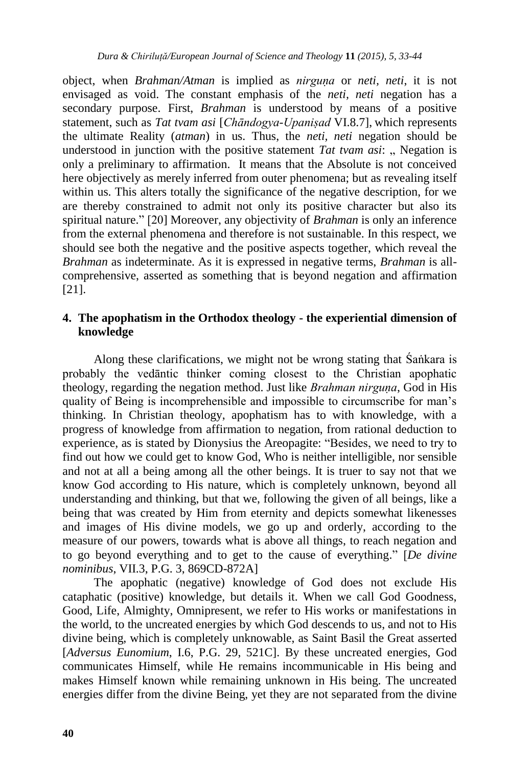object, when *Brahman/Atman* is implied as *nirguṇa* or *neti, neti*, it is not envisaged as void. The constant emphasis of the *neti, neti* negation has a secondary purpose. First, *Brahman* is understood by means of a positive statement, such as *Tat tvam asi* [*Chāndogya-Upaniṣad* VI.8.7], which represents the ultimate Reality (*atman*) in us. Thus, the *neti, neti* negation should be understood in junction with the positive statement *Tat tvam asi*: .. Negation is only a preliminary to affirmation. It means that the Absolute is not conceived here objectively as merely inferred from outer phenomena; but as revealing itself within us. This alters totally the significance of the negative description, for we are thereby constrained to admit not only its positive character but also its spiritual nature." [20] Moreover, any objectivity of *Brahman* is only an inference from the external phenomena and therefore is not sustainable. In this respect, we should see both the negative and the positive aspects together, which reveal the *Brahman* as indeterminate. As it is expressed in negative terms, *Brahman* is allcomprehensive, asserted as something that is beyond negation and affirmation [21].

#### **4. The apophatism in the Orthodox theology - the experiential dimension of knowledge**

Along these clarifications, we might not be wrong stating that Śaṅkara is probably the vedāntic thinker coming closest to the Christian apophatic theology, regarding the negation method. Just like *Brahman nirguna*, God in His quality of Being is incomprehensible and impossible to circumscribe for man"s thinking. In Christian theology, apophatism has to with knowledge, with a progress of knowledge from affirmation to negation, from rational deduction to experience, as is stated by Dionysius the Areopagite: "Besides, we need to try to find out how we could get to know God, Who is neither intelligible, nor sensible and not at all a being among all the other beings. It is truer to say not that we know God according to His nature, which is completely unknown, beyond all understanding and thinking, but that we, following the given of all beings, like a being that was created by Him from eternity and depicts somewhat likenesses and images of His divine models, we go up and orderly, according to the measure of our powers, towards what is above all things, to reach negation and to go beyond everything and to get to the cause of everything." [*De divine nominibus*, VII.3, P.G. 3, 869CD-872A]

The apophatic (negative) knowledge of God does not exclude His cataphatic (positive) knowledge, but details it. When we call God Goodness, Good, Life, Almighty, Omnipresent, we refer to His works or manifestations in the world, to the uncreated energies by which God descends to us, and not to His divine being, which is completely unknowable, as Saint Basil the Great asserted [*Adversus Eunomium*, I.6, P.G. 29, 521C]. By these uncreated energies, God communicates Himself, while He remains incommunicable in His being and makes Himself known while remaining unknown in His being. The uncreated energies differ from the divine Being, yet they are not separated from the divine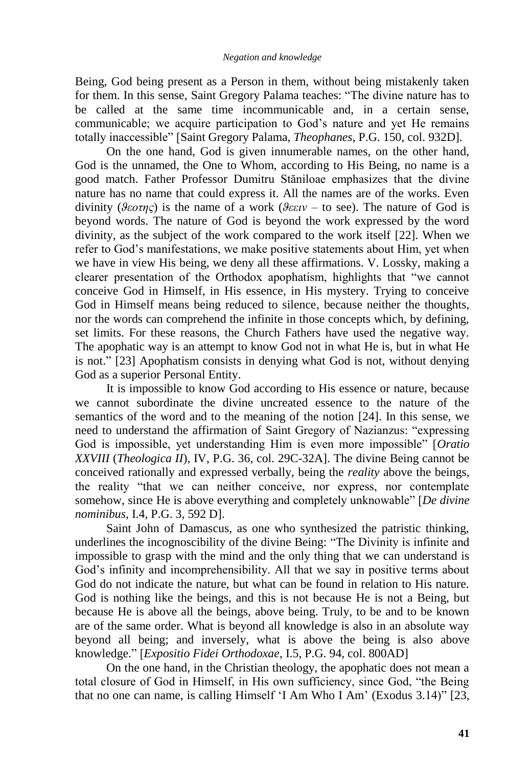Being, God being present as a Person in them, without being mistakenly taken for them. In this sense, Saint Gregory Palama teaches: "The divine nature has to be called at the same time incommunicable and, in a certain sense, communicable; we acquire participation to God"s nature and yet He remains totally inaccessible" [Saint Gregory Palama, *Theophanes*, P.G. 150, col. 932D].

On the one hand, God is given innumerable names, on the other hand, God is the unnamed, the One to Whom, according to His Being, no name is a good match. Father Professor Dumitru Stăniloae emphasizes that the divine nature has no name that could express it. All the names are of the works. Even divinity (*ϑεοτης*) is the name of a work (*ϑεειν* – to see). The nature of God is beyond words. The nature of God is beyond the work expressed by the word divinity, as the subject of the work compared to the work itself [22]. When we refer to God"s manifestations, we make positive statements about Him, yet when we have in view His being, we deny all these affirmations. V. Lossky, making a clearer presentation of the Orthodox apophatism, highlights that "we cannot conceive God in Himself, in His essence, in His mystery. Trying to conceive God in Himself means being reduced to silence, because neither the thoughts, nor the words can comprehend the infinite in those concepts which, by defining, set limits. For these reasons, the Church Fathers have used the negative way. The apophatic way is an attempt to know God not in what He is, but in what He is not." [23] Apophatism consists in denying what God is not, without denying God as a superior Personal Entity.

It is impossible to know God according to His essence or nature, because we cannot subordinate the divine uncreated essence to the nature of the semantics of the word and to the meaning of the notion [24]. In this sense, we need to understand the affirmation of Saint Gregory of Nazianzus: "expressing God is impossible, yet understanding Him is even more impossible" [*Oratio XXVIII* (*Theologica II*), IV, P.G. 36, col. 29C-32A]. The divine Being cannot be conceived rationally and expressed verbally, being the *reality* above the beings, the reality "that we can neither conceive, nor express, nor contemplate somehow, since He is above everything and completely unknowable" [*De divine nominibus*, I.4, P.G. 3, 592 D].

Saint John of Damascus, as one who synthesized the patristic thinking, underlines the incognoscibility of the divine Being: "The Divinity is infinite and impossible to grasp with the mind and the only thing that we can understand is God"s infinity and incomprehensibility. All that we say in positive terms about God do not indicate the nature, but what can be found in relation to His nature. God is nothing like the beings, and this is not because He is not a Being, but because He is above all the beings, above being. Truly, to be and to be known are of the same order. What is beyond all knowledge is also in an absolute way beyond all being; and inversely, what is above the being is also above knowledge." [*Expositio Fidei Orthodoxae*, I.5, P.G. 94, col. 800AD]

On the one hand, in the Christian theology, the apophatic does not mean a total closure of God in Himself, in His own sufficiency, since God, "the Being that no one can name, is calling Himself "I Am Who I Am" (Exodus 3.14)" [23,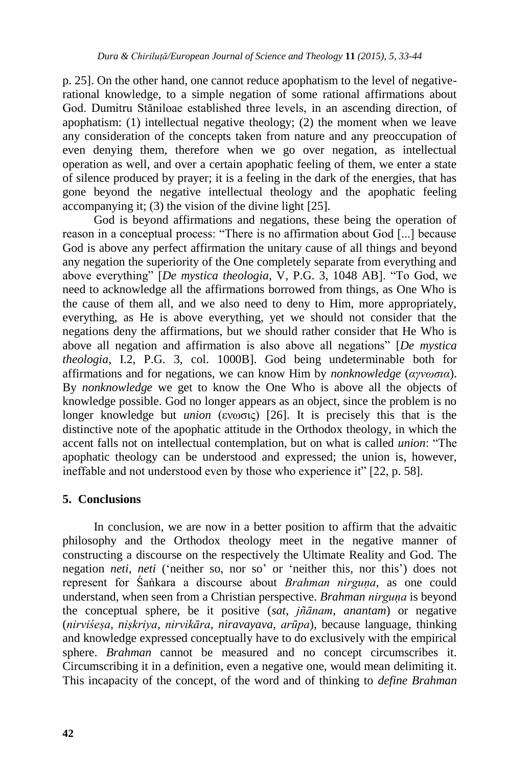p. 25]. On the other hand, one cannot reduce apophatism to the level of negativerational knowledge, to a simple negation of some rational affirmations about God. Dumitru Stăniloae established three levels, in an ascending direction, of apophatism: (1) intellectual negative theology; (2) the moment when we leave any consideration of the concepts taken from nature and any preoccupation of even denying them, therefore when we go over negation, as intellectual operation as well, and over a certain apophatic feeling of them, we enter a state of silence produced by prayer; it is a feeling in the dark of the energies, that has gone beyond the negative intellectual theology and the apophatic feeling accompanying it; (3) the vision of the divine light [25].

God is beyond affirmations and negations, these being the operation of reason in a conceptual process: "There is no affirmation about God [...] because God is above any perfect affirmation the unitary cause of all things and beyond any negation the superiority of the One completely separate from everything and above everything" [*De mystica theologia*, V, P.G. 3, 1048 AB]. "To God, we need to acknowledge all the affirmations borrowed from things, as One Who is the cause of them all, and we also need to deny to Him, more appropriately, everything, as He is above everything, yet we should not consider that the negations deny the affirmations, but we should rather consider that He Who is above all negation and affirmation is also above all negations" [*De mystica theologia*, I.2, P.G. 3, col. 1000B]. God being undeterminable both for affirmations and for negations, we can know Him by *nonknowledge* (*αγνωσια*). By *nonknowledge* we get to know the One Who is above all the objects of knowledge possible. God no longer appears as an object, since the problem is no longer knowledge but *union* (ενωσις) [26]. It is precisely this that is the distinctive note of the apophatic attitude in the Orthodox theology, in which the accent falls not on intellectual contemplation, but on what is called *union*: "The apophatic theology can be understood and expressed; the union is, however, ineffable and not understood even by those who experience it" [22, p. 58].

# **5. Conclusions**

In conclusion, we are now in a better position to affirm that the advaitic philosophy and the Orthodox theology meet in the negative manner of constructing a discourse on the respectively the Ultimate Reality and God. The negation *neti, neti* ("neither so, nor so" or "neither this, nor this") does not represent for Śaṅkara a discourse about *Brahman nirguna*, as one could understand, when seen from a Christian perspective. *Brahman nirguna* is beyond the conceptual sphere, be it positive (*sat*, *jñānam*, *anantam*) or negative (*nirviśeṣa, niṣkriya, nirvikāra, niravayava, arūpa*), because language, thinking and knowledge expressed conceptually have to do exclusively with the empirical sphere. *Brahman* cannot be measured and no concept circumscribes it. Circumscribing it in a definition, even a negative one, would mean delimiting it. This incapacity of the concept, of the word and of thinking to *define Brahman*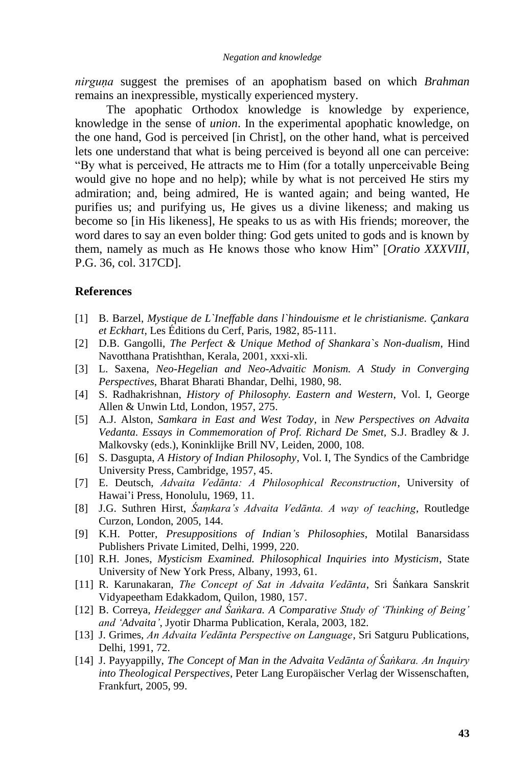*nirguṇa* suggest the premises of an apophatism based on which *Brahman* remains an inexpressible, mystically experienced mystery.

The apophatic Orthodox knowledge is knowledge by experience, knowledge in the sense of *union*. In the experimental apophatic knowledge, on the one hand, God is perceived [in Christ], on the other hand, what is perceived lets one understand that what is being perceived is beyond all one can perceive: "By what is perceived, He attracts me to Him (for a totally unperceivable Being would give no hope and no help); while by what is not perceived He stirs my admiration; and, being admired, He is wanted again; and being wanted, He purifies us; and purifying us, He gives us a divine likeness; and making us become so [in His likeness], He speaks to us as with His friends; moreover, the word dares to say an even bolder thing: God gets united to gods and is known by them, namely as much as He knows those who know Him" [*Oratio XXXVIII*, P.G. 36, col. 317CD].

#### **References**

- [1] B. Barzel, *Mystique de L`Ineffable dans l`hindouisme et le christianisme. Çankara et Eckhart*, Les Éditions du Cerf, Paris, 1982, 85-111.
- [2] D.B. Gangolli, *The Perfect & Unique Method of Shankara`s Non-dualism*, Hind Navotthana Pratishthan, Kerala, 2001, xxxi-xli.
- [3] L. Saxena, *Neo-Hegelian and Neo-Advaitic Monism. A Study in Converging Perspectives*, Bharat Bharati Bhandar, Delhi, 1980, 98.
- [4] S. Radhakrishnan, *History of Philosophy. Eastern and Western*, Vol. I, George Allen & Unwin Ltd, London, 1957, 275.
- [5] A.J. Alston, *Samkara in East and West Today*, in *New Perspectives on Advaita Vedanta. Essays in Commemoration of Prof. Richard De Smet,* S.J. Bradley & J. Malkovsky (eds.), Koninklijke Brill NV, Leiden, 2000, 108.
- [6] S. Dasgupta, *A History of Indian Philosophy*, Vol. I, The Syndics of the Cambridge University Press, Cambridge, 1957, 45.
- [7] E. Deutsch, *Advaita Vedānta: A Philosophical Reconstruction*, University of Hawai"i Press, Honolulu, 1969, 11.
- [8] J.G. Suthren Hirst, *Śaṃkara's Advaita Vedānta. A way of teaching*, Routledge Curzon, London, 2005, 144.
- [9] K.H. Potter, *Presuppositions of Indian's Philosophies*, Motilal Banarsidass Publishers Private Limited, Delhi, 1999, 220.
- [10] R.H. Jones, *Mysticism Examined. Philosophical Inquiries into Mysticism*, State University of New York Press, Albany, 1993, 61.
- [11] R. Karunakaran, *The Concept of Sat in Advaita Vedānta*, Sri Śaṅkara Sanskrit Vidyapeetham Edakkadom, Quilon, 1980, 157.
- [12] B. Correya, *Heidegger and Śaṅkara. A Comparative Study of 'Thinking of Being' and 'Advaita'*, Jyotir Dharma Publication, Kerala, 2003, 182.
- [13] J. Grimes, *An Advaita Vedānta Perspective on Language*, Sri Satguru Publications, Delhi, 1991, 72.
- [14] J. Payyappilly, *The Concept of Man in the Advaita Vedānta of Śaṅkara. An Inquiry into Theological Perspectives*, Peter Lang Europäischer Verlag der Wissenschaften, Frankfurt, 2005, 99.